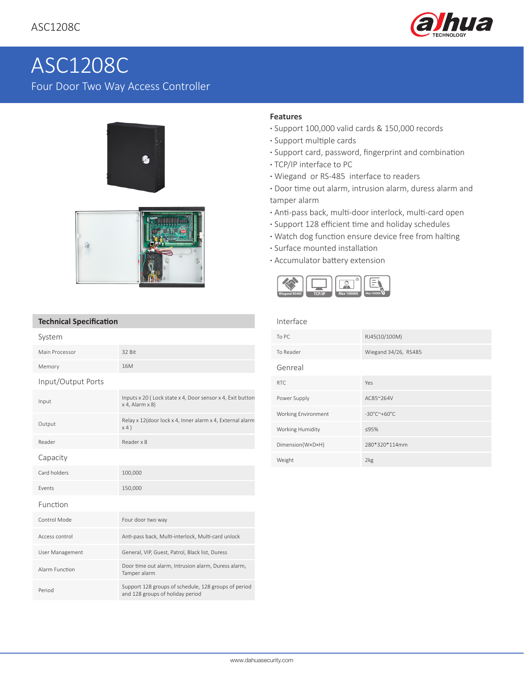

# ASC1208C Four Door Two Way Access Controller





### **Features**

- **·** Support 100,000 valid cards & 150,000 records
- **·** Support multiple cards
- **·** Support card, password, fingerprint and combination
- **·** TCP/IP interface to PC
- **·** Wiegand or RS-485 interface to readers
- **·** Door time out alarm, intrusion alarm, duress alarm and tamper alarm
- **·** Anti-pass back, multi-door interlock, multi-card open
- **·** Support 128 efficient time and holiday schedules
- **·** Watch dog function ensure device free from halting
- **·** Surface mounted installation
- **·** Accumulator battery extension



## **Technical Specification**

| System             |                                                                                          |
|--------------------|------------------------------------------------------------------------------------------|
| Main Processor     | 32 Bit                                                                                   |
| Memory             | 16M                                                                                      |
| Input/Output Ports |                                                                                          |
| Input              | Inputs x 20 (Lock state x 4, Door sensor x 4, Exit button<br>$x$ 4, Alarm $x$ 8)         |
| Output             | Relay x 12(door lock x 4, Inner alarm x 4, External alarm<br>x4)                         |
| Reader             | Reader x 8                                                                               |
| Capacity           |                                                                                          |
| Card holders       | 100,000                                                                                  |
| Events             | 150,000                                                                                  |
| Function           |                                                                                          |
| Control Mode       | Four door two way                                                                        |
| Access control     | Anti-pass back, Multi-interlock, Multi-card unlock                                       |
| User Management    | General, VIP, Guest, Patrol, Black list, Duress                                          |
| Alarm Function     | Door time out alarm, Intrusion alarm, Duress alarm,<br>Tamper alarm                      |
| Period             | Support 128 groups of schedule, 128 groups of period<br>and 128 groups of holiday period |

#### Interface

| To PC               | RJ45(10/100M)                              |
|---------------------|--------------------------------------------|
| To Reader           | Wiegand 34/26, RS485                       |
| Genreal             |                                            |
| <b>RTC</b>          | Yes                                        |
| Power Supply        | AC85~264V                                  |
| Working Environment | $-30^{\circ}$ C $^{\sim}$ +60 $^{\circ}$ C |
| Working Humidity    | ≤95%                                       |
| Dimension(WxDxH)    | 280*320*114mm                              |
| Weight              | 2kg                                        |